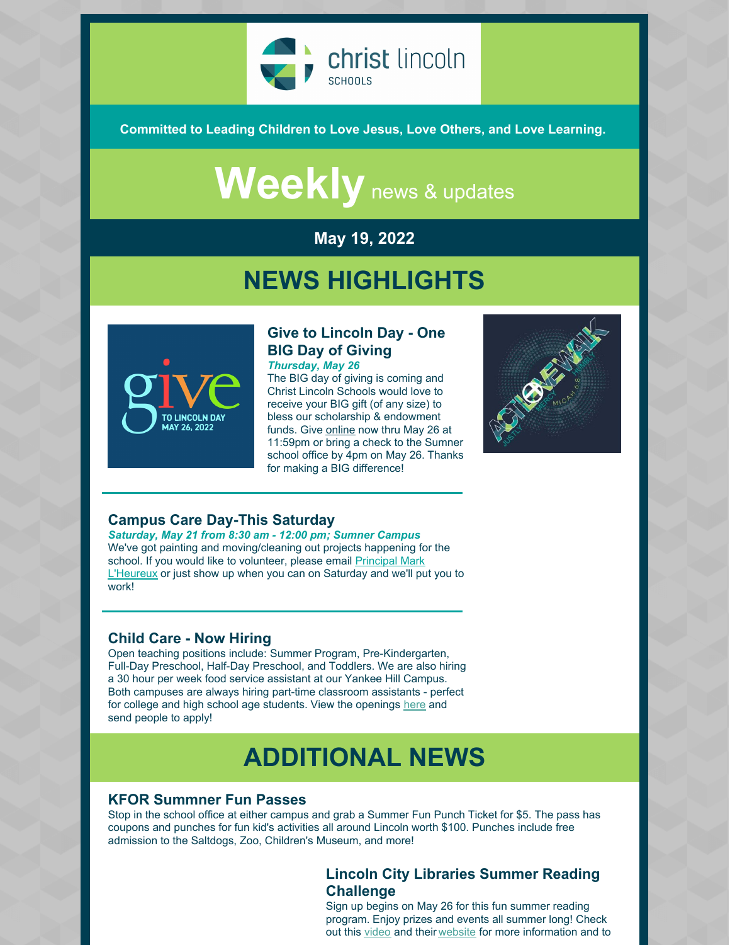

**Committed to Leading Children to Love Jesus, Love Others, and Love Learning.**

# Weekly news & updates

#### **May 19, 2022**

### **NEWS HIGHLIGHTS**



#### **Give to Lincoln Day - One BIG Day of Giving** *Thursday, May 26*

The BIG day of giving is coming and Christ Lincoln Schools would love to receive your BIG gift (of any size) to bless our scholarship & endowment funds. Give [online](https://www.givetolincoln.com/nonprofits/christlincolnschools) now thru May 26 at 11:59pm or bring a check to the Sumner school office by 4pm on May 26. Thanks for making a BIG difference!



#### **Campus Care Day-This Saturday**

*Saturday, May 21 from 8:30 am - 12:00 pm; Sumner Campus* We've got painting and moving/cleaning out projects happening for the school. If you would like to volunteer, please email Principal Mark [L'Heureux](mailto:mlheureux@christlincoln.org) or just show up when you can on Saturday and we'll put you to work!

#### **Child Care - Now Hiring**

Open teaching positions include: Summer Program, Pre-Kindergarten, Full-Day Preschool, Half-Day Preschool, and Toddlers. We are also hiring a 30 hour per week food service assistant at our Yankee Hill Campus. Both campuses are always hiring part-time classroom assistants - perfect for college and high school age students. View the openings [here](https://christlincolnschools.org/workhere/) and send people to apply!

### **ADDITIONAL NEWS**

#### **KFOR Summner Fun Passes**

Stop in the school office at either campus and grab a Summer Fun Punch Ticket for \$5. The pass has coupons and punches for fun kid's activities all around Lincoln worth \$100. Punches include free admission to the Saltdogs, Zoo, Children's Museum, and more!

#### **Lincoln City Libraries Summer Reading Challenge**

Sign up begins on May 26 for this fun summer reading program. Enjoy prizes and events all summer long! Check out this [video](https://youtu.be/YipzeXZYRRY) and their [website](https://lincolnlibraries.org/summer-reading-challenge/) for more information and to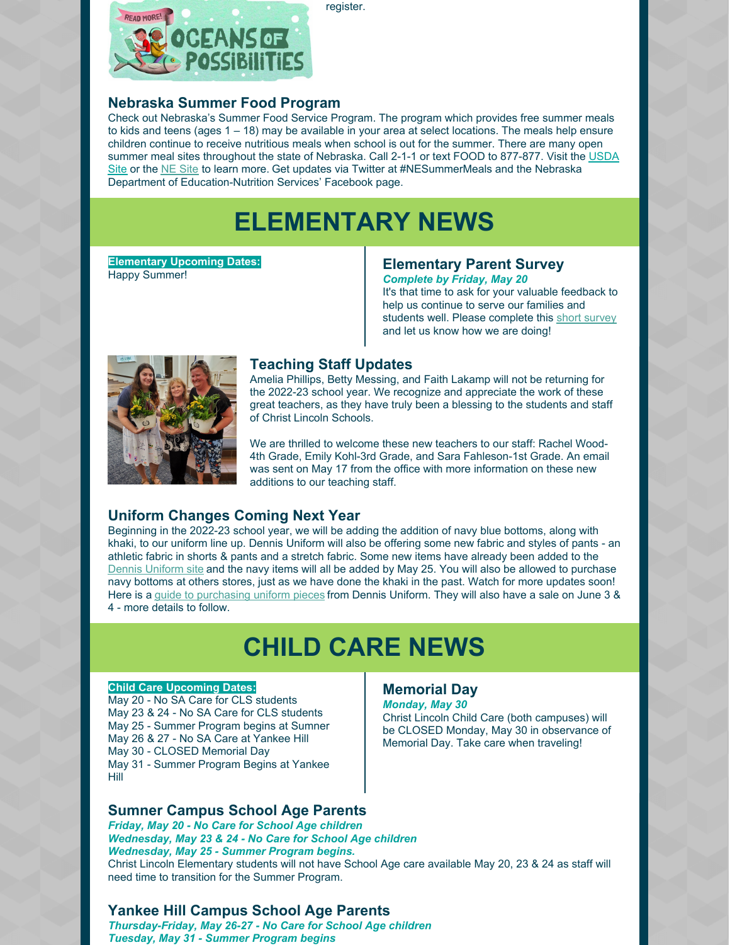

register.

#### **Nebraska Summer Food Program**

Check out Nebraska's Summer Food Service Program. The program which provides free summer meals to kids and teens (ages  $1 - 18$ ) may be available in your area at select locations. The meals help ensure children continue to receive nutritious meals when school is out for the summer. There are many open su[m](https://www.fns.usda.gov/meals4kids)mer meal sites throughout the state of Nebraska. Call 2-1-1 or text FOOD to 877-877. Visit the USDA [Site](https://www.education.ne.gov/NS/SFSP/) or the NE Site to learn more. Get updates via Twitter at [#NESummerMeals](https://www.fns.usda.gov/meals4kids) and the Nebraska Department of Education-Nutrition Services' Facebook page.

## **ELEMENTARY NEWS**

**Elementary Upcoming Dates:** Happy Summer!

#### **Elementary Parent Survey** *Complete by Friday, May 20*

It's that time to ask for your valuable feedback to help us continue to serve our families and students well. Please complete this short [survey](https://docs.google.com/forms/d/e/1FAIpQLSfMOpwcyF0BwdplLIYtqx7v8RfaTUHoAmgnCi8IO2-Exg0-0g/viewform?usp=sf_link) and let us know how we are doing!



#### **Teaching Staff Updates**

Amelia Phillips, Betty Messing, and Faith Lakamp will not be returning for the 2022-23 school year. We recognize and appreciate the work of these great teachers, as they have truly been a blessing to the students and staff of Christ Lincoln Schools.

We are thrilled to welcome these new teachers to our staff: Rachel Wood-4th Grade, Emily Kohl-3rd Grade, and Sara Fahleson-1st Grade. An email was sent on May 17 from the office with more information on these new additions to our teaching staff.

#### **Uniform Changes Coming Next Year**

Beginning in the 2022-23 school year, we will be adding the addition of navy blue bottoms, along with khaki, to our uniform line up. Dennis Uniform will also be offering some new fabric and styles of pants - an athletic fabric in shorts & pants and a stretch fabric. Some new items have already been added to the Dennis [Uniform](https://www.dennisuniform.com/collections/pln/grade-K,gender-Girls) site and the navy items will all be added by May 25. You will also be allowed to purchase navy bottoms at others stores, just as we have done the khaki in the past. Watch for more updates soon! Here is a guide to [purchasing](https://files.constantcontact.com/bce746ff501/12b6e7f8-2986-4126-a852-1037bbce5e39.pdf) uniform pieces from Dennis Uniform. They will also have a sale on June 3 & 4 - more details to follow.

### **CHILD CARE NEWS**

#### **Child Care Upcoming Dates:**

May 20 - No SA Care for CLS students May 23 & 24 - No SA Care for CLS students May 25 - Summer Program begins at Sumner May 26 & 27 - No SA Care at Yankee Hill May 30 - CLOSED Memorial Day May 31 - Summer Program Begins at Yankee Hill

#### **Sumner Campus School Age Parents**

*Friday, May 20 - No Care for School Age children Wednesday, May 23 & 24 - No Care for School Age children Wednesday, May 25 - Summer Program begins.* Christ Lincoln Elementary students will not have School Age care available May 20, 23 & 24 as staff will need time to transition for the Summer Program.

#### **Yankee Hill Campus School Age Parents**

*Thursday-Friday, May 26-27 - No Care for School Age children Tuesday, May 31 - Summer Program begins*

#### **Memorial Day**

*Monday, May 30* Christ Lincoln Child Care (both campuses) will be CLOSED Monday, May 30 in observance of Memorial Day. Take care when traveling!